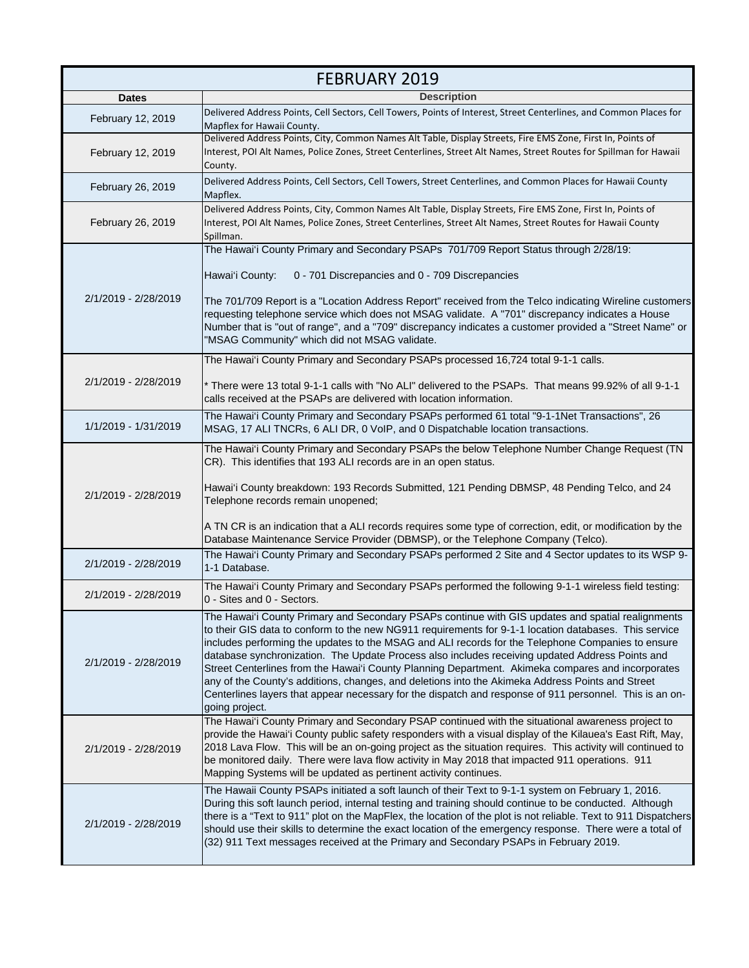| <b>FEBRUARY 2019</b> |                                                                                                                                                                                                                                                                                                                                                                                                                                                                                                                                                                                                                                                                                                                                                          |
|----------------------|----------------------------------------------------------------------------------------------------------------------------------------------------------------------------------------------------------------------------------------------------------------------------------------------------------------------------------------------------------------------------------------------------------------------------------------------------------------------------------------------------------------------------------------------------------------------------------------------------------------------------------------------------------------------------------------------------------------------------------------------------------|
| <b>Dates</b>         | <b>Description</b>                                                                                                                                                                                                                                                                                                                                                                                                                                                                                                                                                                                                                                                                                                                                       |
| February 12, 2019    | Delivered Address Points, Cell Sectors, Cell Towers, Points of Interest, Street Centerlines, and Common Places for<br>Mapflex for Hawaii County.                                                                                                                                                                                                                                                                                                                                                                                                                                                                                                                                                                                                         |
| February 12, 2019    | Delivered Address Points, City, Common Names Alt Table, Display Streets, Fire EMS Zone, First In, Points of<br>Interest, POI Alt Names, Police Zones, Street Centerlines, Street Alt Names, Street Routes for Spillman for Hawaii<br>County.                                                                                                                                                                                                                                                                                                                                                                                                                                                                                                             |
| February 26, 2019    | Delivered Address Points, Cell Sectors, Cell Towers, Street Centerlines, and Common Places for Hawaii County<br>Mapflex.                                                                                                                                                                                                                                                                                                                                                                                                                                                                                                                                                                                                                                 |
| February 26, 2019    | Delivered Address Points, City, Common Names Alt Table, Display Streets, Fire EMS Zone, First In, Points of<br>Interest, POI Alt Names, Police Zones, Street Centerlines, Street Alt Names, Street Routes for Hawaii County<br>Spillman.                                                                                                                                                                                                                                                                                                                                                                                                                                                                                                                 |
| 2/1/2019 - 2/28/2019 | The Hawai'i County Primary and Secondary PSAPs 701/709 Report Status through 2/28/19:<br>Hawai'i County:<br>0 - 701 Discrepancies and 0 - 709 Discrepancies<br>The 701/709 Report is a "Location Address Report" received from the Telco indicating Wireline customers<br>requesting telephone service which does not MSAG validate. A "701" discrepancy indicates a House<br>Number that is "out of range", and a "709" discrepancy indicates a customer provided a "Street Name" or<br>"MSAG Community" which did not MSAG validate.                                                                                                                                                                                                                   |
| 2/1/2019 - 2/28/2019 | The Hawai'i County Primary and Secondary PSAPs processed 16,724 total 9-1-1 calls.<br>* There were 13 total 9-1-1 calls with "No ALI" delivered to the PSAPs. That means 99.92% of all 9-1-1<br>calls received at the PSAPs are delivered with location information.                                                                                                                                                                                                                                                                                                                                                                                                                                                                                     |
| 1/1/2019 - 1/31/2019 | The Hawai'i County Primary and Secondary PSAPs performed 61 total "9-1-1Net Transactions", 26<br>MSAG, 17 ALI TNCRs, 6 ALI DR, 0 VoIP, and 0 Dispatchable location transactions.                                                                                                                                                                                                                                                                                                                                                                                                                                                                                                                                                                         |
| 2/1/2019 - 2/28/2019 | The Hawai'i County Primary and Secondary PSAPs the below Telephone Number Change Request (TN<br>CR). This identifies that 193 ALI records are in an open status.<br>Hawai'i County breakdown: 193 Records Submitted, 121 Pending DBMSP, 48 Pending Telco, and 24<br>Telephone records remain unopened;<br>A TN CR is an indication that a ALI records requires some type of correction, edit, or modification by the<br>Database Maintenance Service Provider (DBMSP), or the Telephone Company (Telco).                                                                                                                                                                                                                                                 |
| 2/1/2019 - 2/28/2019 | The Hawai'i County Primary and Secondary PSAPs performed 2 Site and 4 Sector updates to its WSP 9-<br>1-1 Database.                                                                                                                                                                                                                                                                                                                                                                                                                                                                                                                                                                                                                                      |
| 2/1/2019 - 2/28/2019 | The Hawai'i County Primary and Secondary PSAPs performed the following 9-1-1 wireless field testing:<br>0 - Sites and 0 - Sectors.                                                                                                                                                                                                                                                                                                                                                                                                                                                                                                                                                                                                                       |
| 2/1/2019 - 2/28/2019 | The Hawai'i County Primary and Secondary PSAPs continue with GIS updates and spatial realignments<br>to their GIS data to conform to the new NG911 requirements for 9-1-1 location databases. This service<br>includes performing the updates to the MSAG and ALI records for the Telephone Companies to ensure<br>database synchronization. The Update Process also includes receiving updated Address Points and<br>Street Centerlines from the Hawai'i County Planning Department. Akimeka compares and incorporates<br>any of the County's additions, changes, and deletions into the Akimeka Address Points and Street<br>Centerlines layers that appear necessary for the dispatch and response of 911 personnel. This is an on-<br>going project. |
| 2/1/2019 - 2/28/2019 | The Hawai'i County Primary and Secondary PSAP continued with the situational awareness project to<br>provide the Hawai'i County public safety responders with a visual display of the Kilauea's East Rift, May,<br>2018 Lava Flow. This will be an on-going project as the situation requires. This activity will continued to<br>be monitored daily. There were lava flow activity in May 2018 that impacted 911 operations. 911<br>Mapping Systems will be updated as pertinent activity continues.                                                                                                                                                                                                                                                    |
| 2/1/2019 - 2/28/2019 | The Hawaii County PSAPs initiated a soft launch of their Text to 9-1-1 system on February 1, 2016.<br>During this soft launch period, internal testing and training should continue to be conducted. Although<br>there is a "Text to 911" plot on the MapFlex, the location of the plot is not reliable. Text to 911 Dispatchers<br>should use their skills to determine the exact location of the emergency response. There were a total of<br>(32) 911 Text messages received at the Primary and Secondary PSAPs in February 2019.                                                                                                                                                                                                                     |